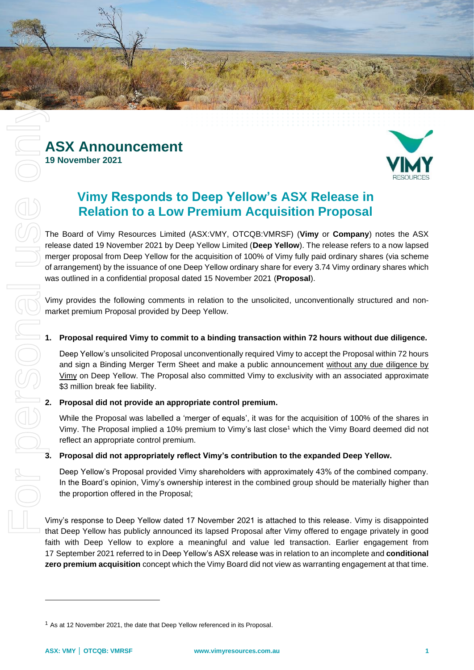



# **Vimy Responds to Deep Yellow's ASX Release in Relation to a Low Premium Acquisition Proposal**

The Board of Vimy Resources Limited (ASX:VMY, OTCQB:VMRSF) (**Vimy** or **Company**) notes the ASX release dated 19 November 2021 by Deep Yellow Limited (**Deep Yellow**). The release refers to a now lapsed merger proposal from Deep Yellow for the acquisition of 100% of Vimy fully paid ordinary shares (via scheme of arrangement) by the issuance of one Deep Yellow ordinary share for every 3.74 Vimy ordinary shares which was outlined in a confidential proposal dated 15 November 2021 (**Proposal**).

Vimy provides the following comments in relation to the unsolicited, unconventionally structured and nonmarket premium Proposal provided by Deep Yellow.

# **1. Proposal required Vimy to commit to a binding transaction within 72 hours without due diligence.**

Deep Yellow's unsolicited Proposal unconventionally required Vimy to accept the Proposal within 72 hours and sign a Binding Merger Term Sheet and make a public announcement without any due diligence by Vimy on Deep Yellow. The Proposal also committed Vimy to exclusivity with an associated approximate \$3 million break fee liability.

# **2. Proposal did not provide an appropriate control premium.**

While the Proposal was labelled a 'merger of equals', it was for the acquisition of 100% of the shares in Vimy. The Proposal implied a 10% premium to Vimy's last close<sup>1</sup> which the Vimy Board deemed did not reflect an appropriate control premium.

# **3. Proposal did not appropriately reflect Vimy's contribution to the expanded Deep Yellow.**

Deep Yellow's Proposal provided Vimy shareholders with approximately 43% of the combined company. In the Board's opinion, Vimy's ownership interest in the combined group should be materially higher than the proportion offered in the Proposal;

Vimy's response to Deep Yellow dated 17 November 2021 is attached to this release. Vimy is disappointed that Deep Yellow has publicly announced its lapsed Proposal after Vimy offered to engage privately in good faith with Deep Yellow to explore a meaningful and value led transaction. Earlier engagement from 17 September 2021 referred to in Deep Yellow's ASX release was in relation to an incomplete and **conditional zero premium acquisition** concept which the Vimy Board did not view as warranting engagement at that time.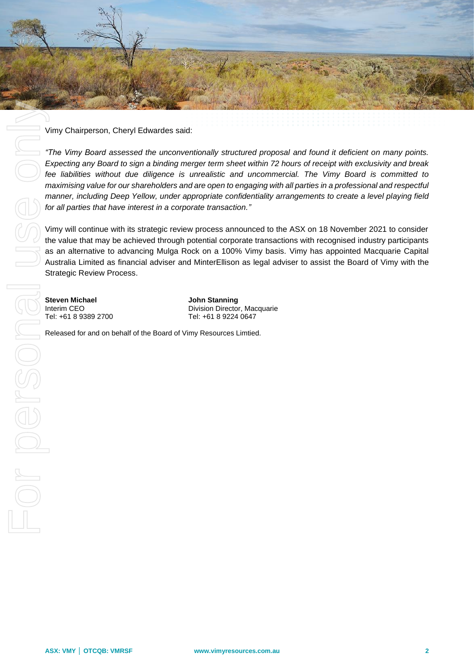

Vimy Chairperson, Cheryl Edwardes said:

*"The Vimy Board assessed the unconventionally structured proposal and found it deficient on many points. Expecting any Board to sign a binding merger term sheet within 72 hours of receipt with exclusivity and break fee liabilities without due diligence is unrealistic and uncommercial. The Vimy Board is committed to maximising value for our shareholders and are open to engaging with all parties in a professional and respectful manner, including Deep Yellow, under appropriate confidentiality arrangements to create a level playing field for all parties that have interest in a corporate transaction."*

Vimy will continue with its strategic review process announced to the ASX on 18 November 2021 to consider the value that may be achieved through potential corporate transactions with recognised industry participants as an alternative to advancing Mulga Rock on a 100% Vimy basis. Vimy has appointed Macquarie Capital Australia Limited as financial adviser and MinterEllison as legal adviser to assist the Board of Vimy with the Strategic Review Process.

Division Director, Macquarie Tel: +61 8 9389 2700 Tel: +61 8 9224 0647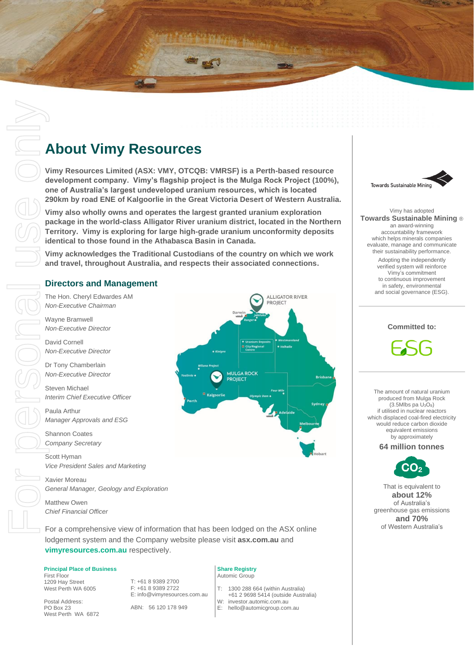# **About Vimy Resources**

**Vimy Resources Limited (ASX: VMY, OTCQB: VMRSF) is a Perth-based resource development company. Vimy's flagship project is the Mulga Rock Project (100%), one of Australia's largest undeveloped uranium resources, which is located 290km by road ENE of Kalgoorlie in the Great Victoria Desert of Western Australia.**

**Vimy also wholly owns and operates the largest granted uranium exploration package in the world-class Alligator River uranium district, located in the Northern Territory. Vimy is exploring for large high-grade uranium unconformity deposits identical to those found in the Athabasca Basin in Canada.**

**Vimy acknowledges the Traditional Custodians of the country on which we work and travel, throughout Australia, and respects their associated connections.**

#### **Directors and Management**

The Hon. Cheryl Edwardes AM *Non-Executive Chairman*

Wayne Bramwell *Non-Executive Director*

David Cornell *Non-Executive Director*

Dr Tony Chamberlain *Non-Executive Director*

Steven Michael *Interim Chief Executive Officer*

Paula Arthur *Manager Approvals and ESG*

Shannon Coates *Company Secretary*

Scott Hyman *Vice President Sales and Marketing*

Xavier Moreau *General Manager, Geology and Exploration*

Matthew Owen *Chief Financial Officer*

For a comprehensive view of information that has been lodged on the ASX online lodgement system and the Company website please visit **asx.com.au** and **vimyresources.com.au** respectively.

#### **Principal Place of Business**

First Floor 1209 Hay Street West Perth WA 6005

Postal Address: PO Box 23 West Perth WA 6872 T: +61 8 9389 2700 F: +61 8 9389 2722 E: info@vimyresources.com.au

ABN: 56 120 178 949

#### **Share Registry** Automic Group

**MULGA ROCH PROJECT** 

T: 1300 288 664 (within Australia)

**ALLIGATOR RIVER PROJECT** 

- +61 2 9698 5414 (outside Australia)
- W: investor.automic.com.au<br>E: hello@automicgroup.com
- hello@automicgroup.com.au



Vimy has adopted **Towards Sustainable Mining** ® an award-winning accountability framework which helps minerals companies evaluate, manage and communicate their sustainability performance. Adopting the independently verified system will reinforce Vimy's commitment to continuous improvement in safety, environmental and social governance (ESG).

# **Committed to:**



The amount of natural uranium produced from Mulga Rock  $(3.5M$ lbs pa  $U_3O_8$ ) if utilised in nuclear reactors which displaced coal-fired electricity would reduce carbon dioxide equivalent emissions by approximately

**64 million tonnes**



That is equivalent to **about 12%** of Australia's greenhouse gas emissions **and 70%** of Western Australia's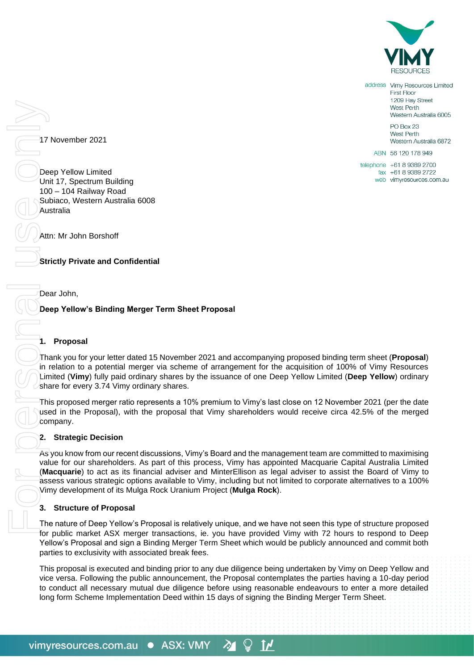

address Vimy Resources Limited **First Floor** 1209 Hay Street West Perth Western Australia 6005 PO Box 23 West Perth Western Australia 6872

17 November 2021

Deep Yellow Limited Unit 17, Spectrum Building 100 – 104 Railway Road Subiaco, Western Australia 6008 Australia

Attn: Mr John Borshoff

**Strictly Private and Confidential**

Dear John,

# **Deep Yellow's Binding Merger Term Sheet Proposal**

## **1. Proposal**

Thank you for your letter dated 15 November 2021 and accompanying proposed binding term sheet (**Proposal**) in relation to a potential merger via scheme of arrangement for the acquisition of 100% of Vimy Resources Limited (**Vimy**) fully paid ordinary shares by the issuance of one Deep Yellow Limited (**Deep Yellow**) ordinary share for every 3.74 Vimy ordinary shares.

This proposed merger ratio represents a 10% premium to Vimy's last close on 12 November 2021 (per the date used in the Proposal), with the proposal that Vimy shareholders would receive circa 42.5% of the merged company.

# **2. Strategic Decision**

As you know from our recent discussions, Vimy's Board and the management team are committed to maximising value for our shareholders. As part of this process, Vimy has appointed Macquarie Capital Australia Limited (**Macquarie**) to act as its financial adviser and MinterEllison as legal adviser to assist the Board of Vimy to assess various strategic options available to Vimy, including but not limited to corporate alternatives to a 100% Vimy development of its Mulga Rock Uranium Project (**Mulga Rock**). long for May and the Host of Scheme Implementation Deed Within 15 days of signing the Binding Merger Term Sheet Proposal<br>
Math Michael Merger Term Sheet Proposal<br>
Math Michael Merger Term Sheet Proposal<br>
Math Michael Merge

# **3. Structure of Proposal**

The nature of Deep Yellow's Proposal is relatively unique, and we have not seen this type of structure proposed for public market ASX merger transactions, ie. you have provided Vimy with 72 hours to respond to Deep Yellow's Proposal and sign a Binding Merger Term Sheet which would be publicly announced and commit both parties to exclusivity with associated break fees.

This proposal is executed and binding prior to any due diligence being undertaken by Vimy on Deep Yellow and vice versa. Following the public announcement, the Proposal contemplates the parties having a 10-day period to conduct all necessary mutual due diligence before using reasonable endeavours to enter a more detailed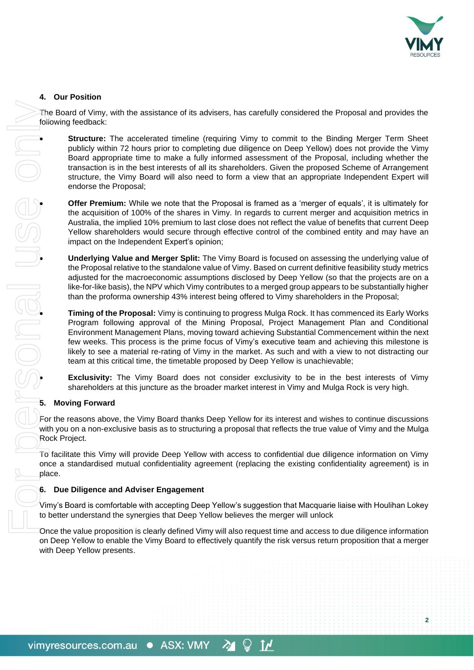

**2**

# **4. Our Position**

The Board of Vimy, with the assistance of its advisers, has carefully considered the Proposal and provides the following feedback:

• **Structure:** The accelerated timeline (requiring Vimy to commit to the Binding Merger Term Sheet publicly within 72 hours prior to completing due diligence on Deep Yellow) does not provide the Vimy Board appropriate time to make a fully informed assessment of the Proposal, including whether the transaction is in the best interests of all its shareholders. Given the proposed Scheme of Arrangement structure, the Vimy Board will also need to form a view that an appropriate Independent Expert will endorse the Proposal;

• **Offer Premium:** While we note that the Proposal is framed as a 'merger of equals', it is ultimately for the acquisition of 100% of the shares in Vimy. In regards to current merger and acquisition metrics in Australia, the implied 10% premium to last close does not reflect the value of benefits that current Deep Yellow shareholders would secure through effective control of the combined entity and may have an impact on the Independent Expert's opinion;

• **Underlying Value and Merger Split:** The Vimy Board is focused on assessing the underlying value of the Proposal relative to the standalone value of Vimy. Based on current definitive feasibility study metrics adjusted for the macroeconomic assumptions disclosed by Deep Yellow (so that the projects are on a like-for-like basis), the NPV which Vimy contributes to a merged group appears to be substantially higher than the proforma ownership 43% interest being offered to Vimy shareholders in the Proposal;

• **Timing of the Proposal:** Vimy is continuing to progress Mulga Rock. It has commenced its Early Works Program following approval of the Mining Proposal, Project Management Plan and Conditional Environment Management Plans, moving toward achieving Substantial Commencement within the next few weeks. This process is the prime focus of Vimy's executive team and achieving this milestone is likely to see a material re-rating of Vimy in the market. As such and with a view to not distracting our team at this critical time, the timetable proposed by Deep Yellow is unachievable;

• **Exclusivity:** The Vimy Board does not consider exclusivity to be in the best interests of Vimy shareholders at this juncture as the broader market interest in Vimy and Mulga Rock is very high.

## **5. Moving Forward**

For the reasons above, the Vimy Board thanks Deep Yellow for its interest and wishes to continue discussions with you on a non-exclusive basis as to structuring a proposal that reflects the true value of Vimy and the Mulga Rock Project.

To facilitate this Vimy will provide Deep Yellow with access to confidential due diligence information on Vimy once a standardised mutual confidentiality agreement (replacing the existing confidentiality agreement) is in place.

## **6. Due Diligence and Adviser Engagement**

Vimy's Board is comfortable with accepting Deep Yellow's suggestion that Macquarie liaise with Houlihan Lokey to better understand the synergies that Deep Yellow believes the merger will unlock

Once the value proposition is clearly defined Vimy will also request time and access to due diligence information on Deep Yellow to enable the Vimy Board to effectively quantify the risk versus return proposition that a merger

 $\mathbf{M}$